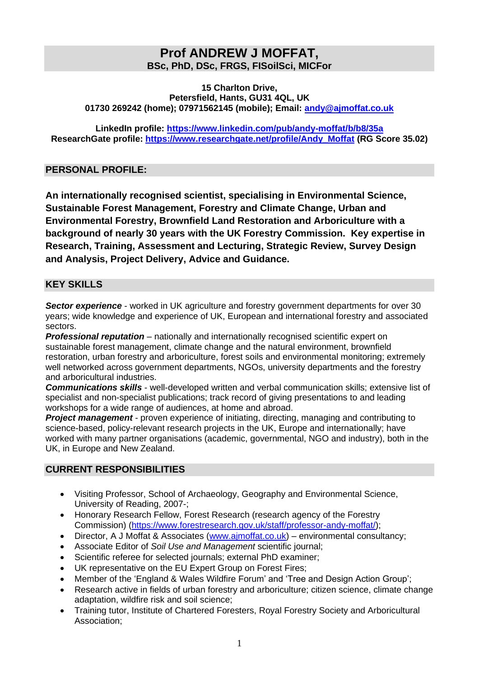# **Prof ANDREW J MOFFAT, BSc, PhD, DSc, FRGS, FISoilSci, MICFor**

**15 Charlton Drive, Petersfield, Hants, GU31 4QL, UK 01730 269242 (home); 07971562145 (mobile); Email: [andy@ajmoffat.co.uk](mailto:andy@ajmoffat.co.uk)**

**LinkedIn profile:<https://www.linkedin.com/pub/andy-moffat/b/b8/35a> ResearchGate profile: [https://www.researchgate.net/profile/Andy\\_Moffat](https://www.researchgate.net/profile/Andy_Moffat) (RG Score 35.02)**

## **PERSONAL PROFILE:**

**An internationally recognised scientist, specialising in Environmental Science, Sustainable Forest Management, Forestry and Climate Change, Urban and Environmental Forestry, Brownfield Land Restoration and Arboriculture with a background of nearly 30 years with the UK Forestry Commission. Key expertise in Research, Training, Assessment and Lecturing, Strategic Review, Survey Design and Analysis, Project Delivery, Advice and Guidance.**

# **KEY SKILLS**

*Sector experience* - worked in UK agriculture and forestry government departments for over 30 years; wide knowledge and experience of UK, European and international forestry and associated sectors.

**Professional reputation** – nationally and internationally recognised scientific expert on sustainable forest management, climate change and the natural environment, brownfield restoration, urban forestry and arboriculture, forest soils and environmental monitoring; extremely well networked across government departments, NGOs, university departments and the forestry and arboricultural industries.

*Communications skills* - well-developed written and verbal communication skills; extensive list of specialist and non-specialist publications; track record of giving presentations to and leading workshops for a wide range of audiences, at home and abroad.

**Project management** - proven experience of initiating, directing, managing and contributing to science-based, policy-relevant research projects in the UK, Europe and internationally; have worked with many partner organisations (academic, governmental, NGO and industry), both in the UK, in Europe and New Zealand.

# **CURRENT RESPONSIBILITIES**

- Visiting Professor, School of Archaeology, Geography and Environmental Science, University of Reading, 2007-;
- Honorary Research Fellow, Forest Research (research agency of the Forestry Commission) [\(https://www.forestresearch.gov.uk/staff/professor-andy-moffat/\)](https://www.forestresearch.gov.uk/staff/professor-andy-moffat/);
- Director, A J Moffat & Associates [\(www.ajmoffat.co.uk\)](http://www.ajmoffat.co.uk/) environmental consultancy;
- Associate Editor of *Soil Use and Management* scientific journal;
- Scientific referee for selected journals; external PhD examiner;
- UK representative on the EU Expert Group on Forest Fires:
- Member of the 'England & Wales Wildfire Forum' and 'Tree and Design Action Group';
- Research active in fields of urban forestry and arboriculture; citizen science, climate change adaptation, wildfire risk and soil science;
- Training tutor, Institute of Chartered Foresters, Royal Forestry Society and Arboricultural Association;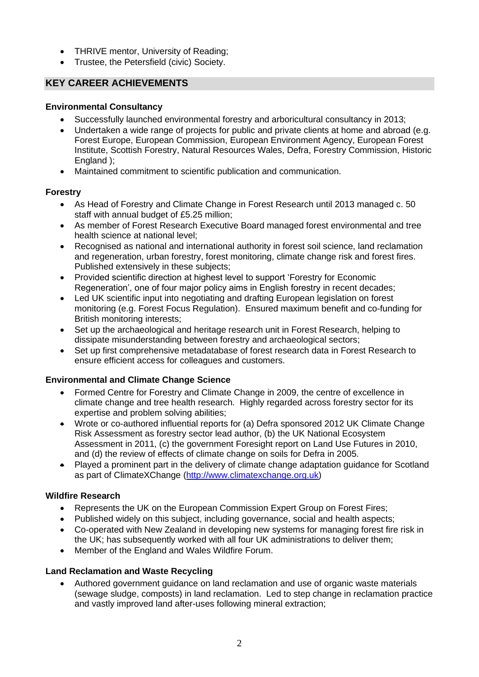- THRIVE mentor, University of Reading;
- Trustee, the Petersfield (civic) Society.

# **KEY CAREER ACHIEVEMENTS**

#### **Environmental Consultancy**

- Successfully launched environmental forestry and arboricultural consultancy in 2013;
- Undertaken a wide range of projects for public and private clients at home and abroad (e.g. Forest Europe, European Commission, European Environment Agency, European Forest Institute, Scottish Forestry, Natural Resources Wales, Defra, Forestry Commission, Historic England ):
- Maintained commitment to scientific publication and communication.

## **Forestry**

- As Head of Forestry and Climate Change in Forest Research until 2013 managed c. 50 staff with annual budget of £5.25 million;
- As member of Forest Research Executive Board managed forest environmental and tree health science at national level;
- Recognised as national and international authority in forest soil science, land reclamation and regeneration, urban forestry, forest monitoring, climate change risk and forest fires. Published extensively in these subjects;
- Provided scientific direction at highest level to support 'Forestry for Economic Regeneration', one of four major policy aims in English forestry in recent decades;
- Led UK scientific input into negotiating and drafting European legislation on forest monitoring (e.g. Forest Focus Regulation). Ensured maximum benefit and co-funding for British monitoring interests;
- Set up the archaeological and heritage research unit in Forest Research, helping to dissipate misunderstanding between forestry and archaeological sectors;
- Set up first comprehensive metadatabase of forest research data in Forest Research to ensure efficient access for colleagues and customers.

#### **Environmental and Climate Change Science**

- Formed Centre for Forestry and Climate Change in 2009, the centre of excellence in climate change and tree health research. Highly regarded across forestry sector for its expertise and problem solving abilities;
- Wrote or co-authored influential reports for (a) Defra sponsored 2012 UK Climate Change Risk Assessment as forestry sector lead author, (b) the UK National Ecosystem Assessment in 2011, (c) the government Foresight report on Land Use Futures in 2010, and (d) the review of effects of climate change on soils for Defra in 2005.
- Played a prominent part in the delivery of climate change adaptation guidance for Scotland as part of ClimateXChange [\(http://www.climatexchange.org.uk\)](http://www.climatexchange.org.uk/)

#### **Wildfire Research**

- Represents the UK on the European Commission Expert Group on Forest Fires;
- Published widely on this subject, including governance, social and health aspects;
- Co-operated with New Zealand in developing new systems for managing forest fire risk in the UK; has subsequently worked with all four UK administrations to deliver them;
- Member of the England and Wales Wildfire Forum.

# **Land Reclamation and Waste Recycling**

• Authored government guidance on land reclamation and use of organic waste materials (sewage sludge, composts) in land reclamation. Led to step change in reclamation practice and vastly improved land after-uses following mineral extraction;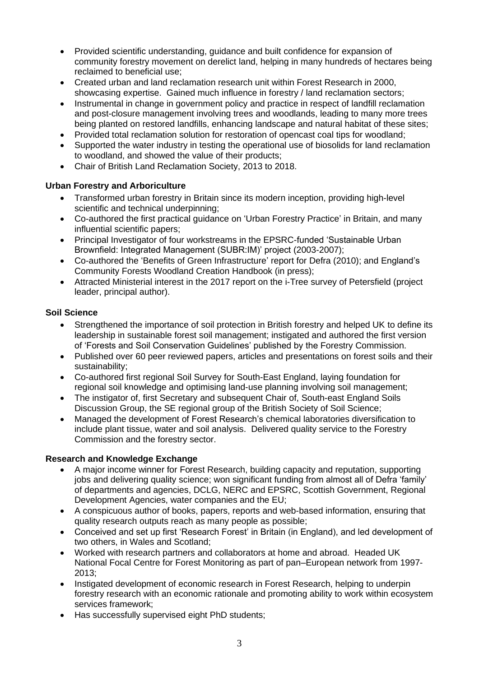- Provided scientific understanding, guidance and built confidence for expansion of community forestry movement on derelict land, helping in many hundreds of hectares being reclaimed to beneficial use;
- Created urban and land reclamation research unit within Forest Research in 2000, showcasing expertise. Gained much influence in forestry / land reclamation sectors;
- Instrumental in change in government policy and practice in respect of landfill reclamation and post-closure management involving trees and woodlands, leading to many more trees being planted on restored landfills, enhancing landscape and natural habitat of these sites;
- Provided total reclamation solution for restoration of opencast coal tips for woodland;
- Supported the water industry in testing the operational use of biosolids for land reclamation to woodland, and showed the value of their products;
- Chair of British Land Reclamation Society, 2013 to 2018.

## **Urban Forestry and Arboriculture**

- Transformed urban forestry in Britain since its modern inception, providing high-level scientific and technical underpinning:
- Co-authored the first practical guidance on 'Urban Forestry Practice' in Britain, and many influential scientific papers;
- Principal Investigator of four workstreams in the EPSRC-funded 'Sustainable Urban Brownfield: Integrated Management (SUBR:IM)' project (2003-2007);
- Co-authored the 'Benefits of Green Infrastructure' report for Defra (2010); and England's Community Forests Woodland Creation Handbook (in press);
- Attracted Ministerial interest in the 2017 report on the i-Tree survey of Petersfield (project leader, principal author).

#### **Soil Science**

- Strengthened the importance of soil protection in British forestry and helped UK to define its leadership in sustainable forest soil management; instigated and authored the first version of 'Forests and Soil Conservation Guidelines' published by the Forestry Commission.
- Published over 60 peer reviewed papers, articles and presentations on forest soils and their sustainability;
- Co-authored first regional Soil Survey for South-East England, laying foundation for regional soil knowledge and optimising land-use planning involving soil management;
- The instigator of, first Secretary and subsequent Chair of, South-east England Soils Discussion Group, the SE regional group of the British Society of Soil Science;
- Managed the development of Forest Research's chemical laboratories diversification to include plant tissue, water and soil analysis. Delivered quality service to the Forestry Commission and the forestry sector.

#### **Research and Knowledge Exchange**

- A major income winner for Forest Research, building capacity and reputation, supporting jobs and delivering quality science; won significant funding from almost all of Defra 'family' of departments and agencies, DCLG, NERC and EPSRC, Scottish Government, Regional Development Agencies, water companies and the EU;
- A conspicuous author of books, papers, reports and web-based information, ensuring that quality research outputs reach as many people as possible;
- Conceived and set up first 'Research Forest' in Britain (in England), and led development of two others, in Wales and Scotland;
- Worked with research partners and collaborators at home and abroad. Headed UK National Focal Centre for Forest Monitoring as part of pan–European network from 1997- 2013;
- Instigated development of economic research in Forest Research, helping to underpin forestry research with an economic rationale and promoting ability to work within ecosystem services framework;
- Has successfully supervised eight PhD students;